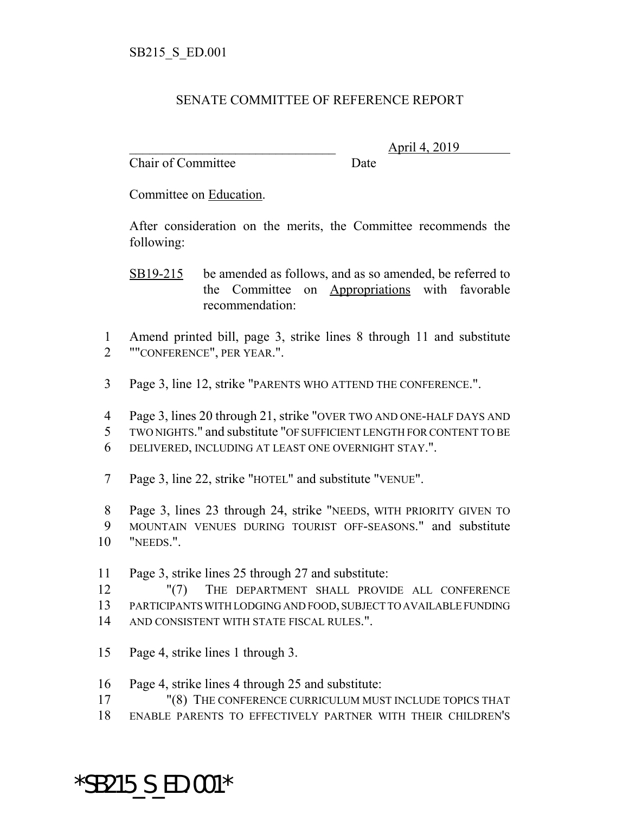## SENATE COMMITTEE OF REFERENCE REPORT

Chair of Committee Date

\_\_\_\_\_\_\_\_\_\_\_\_\_\_\_\_\_\_\_\_\_\_\_\_\_\_\_\_\_\_\_ April 4, 2019

Committee on Education.

After consideration on the merits, the Committee recommends the following:

- SB19-215 be amended as follows, and as so amended, be referred to the Committee on Appropriations with favorable recommendation:
- Amend printed bill, page 3, strike lines 8 through 11 and substitute ""CONFERENCE", PER YEAR.".
- Page 3, line 12, strike "PARENTS WHO ATTEND THE CONFERENCE.".
- Page 3, lines 20 through 21, strike "OVER TWO AND ONE-HALF DAYS AND
- TWO NIGHTS." and substitute "OF SUFFICIENT LENGTH FOR CONTENT TO BE
- DELIVERED, INCLUDING AT LEAST ONE OVERNIGHT STAY.".
- Page 3, line 22, strike "HOTEL" and substitute "VENUE".

 Page 3, lines 23 through 24, strike "NEEDS, WITH PRIORITY GIVEN TO MOUNTAIN VENUES DURING TOURIST OFF-SEASONS." and substitute "NEEDS.".

- Page 3, strike lines 25 through 27 and substitute:
- "(7) THE DEPARTMENT SHALL PROVIDE ALL CONFERENCE PARTICIPANTS WITH LODGING AND FOOD, SUBJECT TO AVAILABLE FUNDING
- AND CONSISTENT WITH STATE FISCAL RULES.".
- Page 4, strike lines 1 through 3.
- Page 4, strike lines 4 through 25 and substitute:
- "(8) THE CONFERENCE CURRICULUM MUST INCLUDE TOPICS THAT
- ENABLE PARENTS TO EFFECTIVELY PARTNER WITH THEIR CHILDREN'S

## \*SB215\_S\_ED.001\*